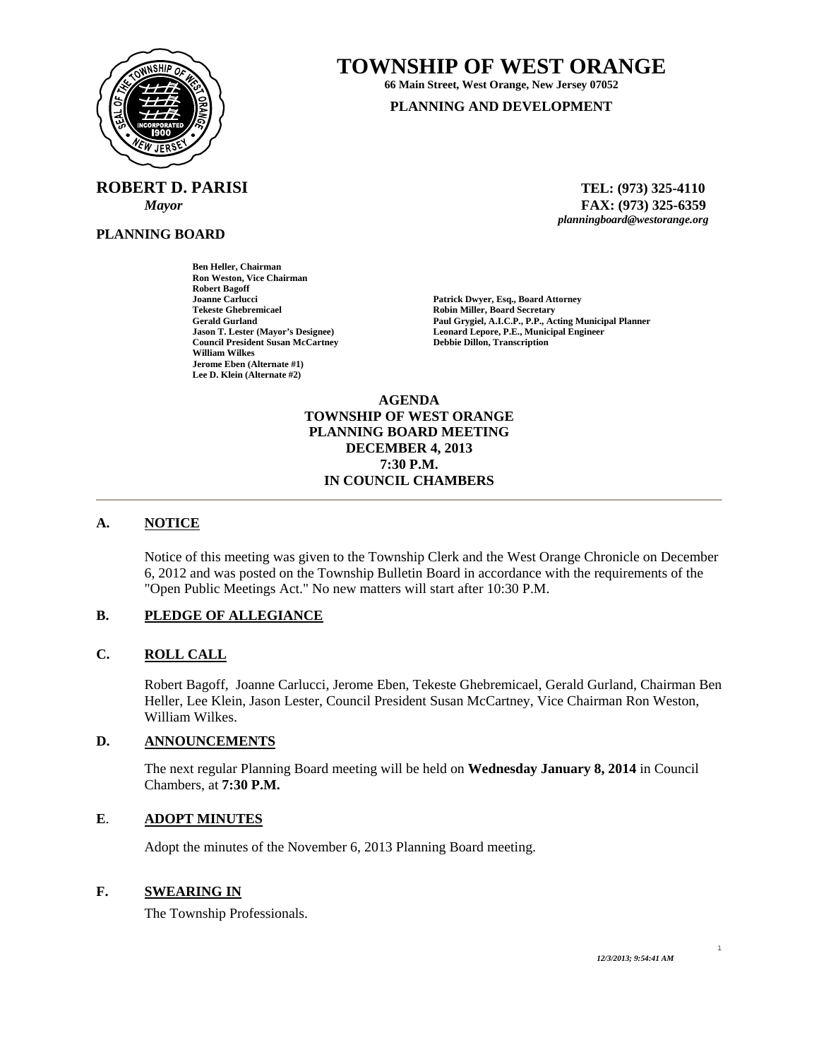

**ROBERT D. PARISI TEL: (973) 325-4110** 

**Ben Heller, Chairman Ron Weston, Vice Chairman** 

**Council President Susan McCartney** 

**Robert Bagoff** 

**William Wilkes Jerome Eben (Alternate #1) Lee D. Klein (Alternate #2)** 

**PLANNING BOARD**

**TOWNSHIP OF WEST ORANGE** 

**66 Main Street, West Orange, New Jersey 07052 PLANNING AND DEVELOPMENT**

 *Mayor* **FAX: (973) 325-6359** *planningboard@westorange.org* 

**Joanne Carlucci 1986 1886 1897 1898 1898 1898 1898 1899 1898 1899 1898 1899 1898 1899 1899 1899 1899 1899 1899 1899 1899 1899 1899 1899 1899 1899 1899 1899 1899 1899 1899 1899 1899 1899 1899 1899 1899 1899 1899 1899 1899 Tekeste Ghebremicael 2008**<br>
Robin Miller, Board Secretary<br>
Paul Grygiel, A.I.C.P., P.P., Ac **Gerald Gurland Paul Grygiel, A.I.C.P., P.P., Acting Municipal Planner Leonard Lepore, P.E., Municipal Engineer Debbie Dillon, Transcription** 

> **AGENDA TOWNSHIP OF WEST ORANGE PLANNING BOARD MEETING DECEMBER 4, 2013 7:30 P.M. IN COUNCIL CHAMBERS**

# **A. NOTICE**

Notice of this meeting was given to the Township Clerk and the West Orange Chronicle on December 6, 2012 and was posted on the Township Bulletin Board in accordance with the requirements of the "Open Public Meetings Act." No new matters will start after 10:30 P.M.

#### **B. PLEDGE OF ALLEGIANCE**

#### **C. ROLL CALL**

Robert Bagoff, Joanne Carlucci, Jerome Eben, Tekeste Ghebremicael, Gerald Gurland, Chairman Ben Heller, Lee Klein, Jason Lester, Council President Susan McCartney, Vice Chairman Ron Weston, William Wilkes.

#### **D. ANNOUNCEMENTS**

The next regular Planning Board meeting will be held on **Wednesday January 8, 2014** in Council Chambers, at **7:30 P.M.** 

#### **E**. **ADOPT MINUTES**

Adopt the minutes of the November 6, 2013 Planning Board meeting.

# **F. SWEARING IN**

The Township Professionals.